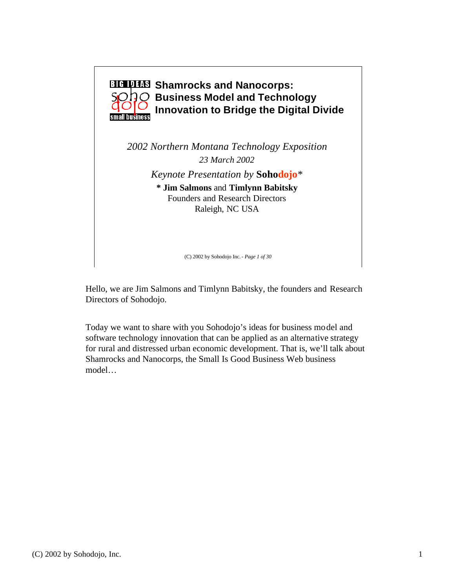

(C) 2002 by Sohodojo Inc.- *Page 1 of 30*

Hello, we are Jim Salmons and Timlynn Babitsky, the founders and Research Directors of Sohodojo.

Today we want to share with you Sohodojo's ideas for business model and software technology innovation that can be applied as an alternative strategy for rural and distressed urban economic development. That is, we'll talk about Shamrocks and Nanocorps, the Small Is Good Business Web business model…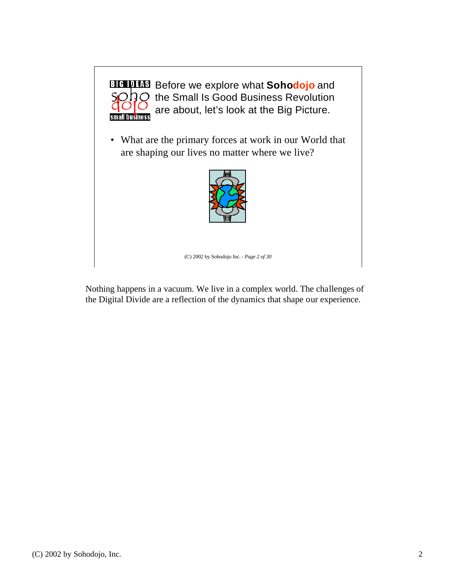

Nothing happens in a vacuum. We live in a complex world. The challenges of the Digital Divide are a reflection of the dynamics that shape our experience.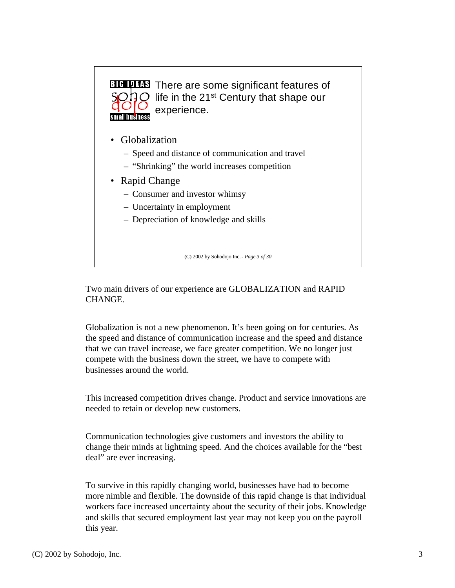

- Globalization
	- Speed and distance of communication and travel
	- "Shrinking" the world increases competition
- Rapid Change
	- Consumer and investor whimsy
	- Uncertainty in employment
	- Depreciation of knowledge and skills

(C) 2002 by Sohodojo Inc.- *Page 3 of 30*

Two main drivers of our experience are GLOBALIZATION and RAPID CHANGE.

Globalization is not a new phenomenon. It's been going on for centuries. As the speed and distance of communication increase and the speed and distance that we can travel increase, we face greater competition. We no longer just compete with the business down the street, we have to compete with businesses around the world.

This increased competition drives change. Product and service innovations are needed to retain or develop new customers.

Communication technologies give customers and investors the ability to change their minds at lightning speed. And the choices available for the "best deal" are ever increasing.

To survive in this rapidly changing world, businesses have had to become more nimble and flexible. The downside of this rapid change is that individual workers face increased uncertainty about the security of their jobs. Knowledge and skills that secured employment last year may not keep you on the payroll this year.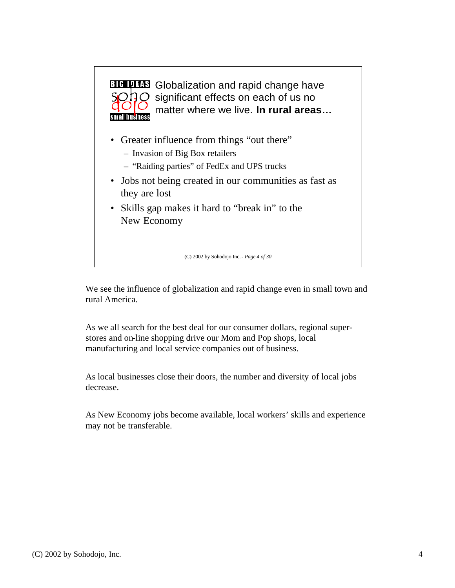

We see the influence of globalization and rapid change even in small town and rural America.

As we all search for the best deal for our consumer dollars, regional superstores and on-line shopping drive our Mom and Pop shops, local manufacturing and local service companies out of business.

As local businesses close their doors, the number and diversity of local jobs decrease.

As New Economy jobs become available, local workers' skills and experience may not be transferable.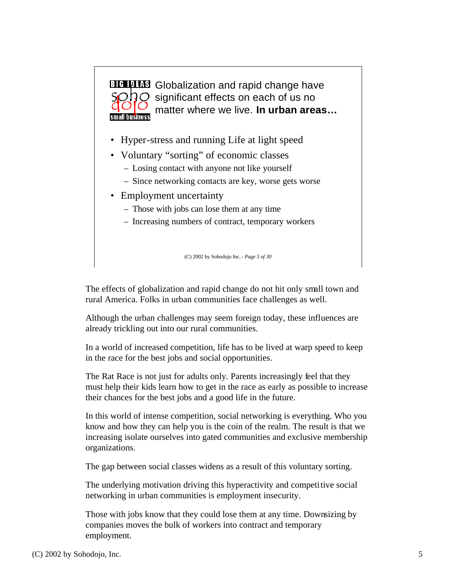

The effects of globalization and rapid change do not hit only small town and rural America. Folks in urban communities face challenges as well.

Although the urban challenges may seem foreign today, these influences are already trickling out into our rural communities.

In a world of increased competition, life has to be lived at warp speed to keep in the race for the best jobs and social opportunities.

The Rat Race is not just for adults only. Parents increasingly feel that they must help their kids learn how to get in the race as early as possible to increase their chances for the best jobs and a good life in the future.

In this world of intense competition, social networking is everything. Who you know and how they can help you is the coin of the realm. The result is that we increasing isolate ourselves into gated communities and exclusive membership organizations.

The gap between social classes widens as a result of this voluntary sorting.

The underlying motivation driving this hyperactivity and competitive social networking in urban communities is employment insecurity.

Those with jobs know that they could lose them at any time. Downsizing by companies moves the bulk of workers into contract and temporary employment.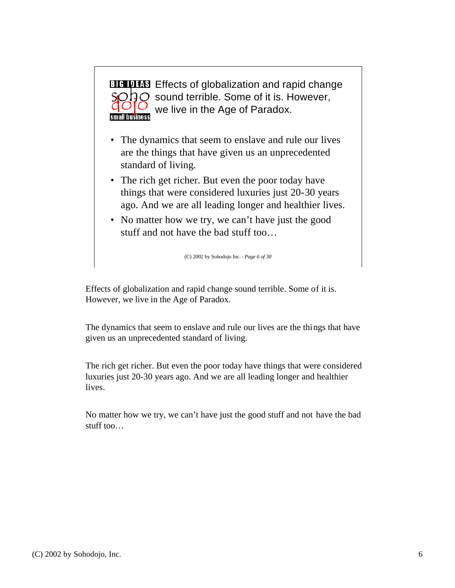

- The dynamics that seem to enslave and rule our lives are the things that have given us an unprecedented standard of living.
- The rich get richer. But even the poor today have things that were considered luxuries just 20-30 years ago. And we are all leading longer and healthier lives.
- No matter how we try, we can't have just the good stuff and not have the bad stuff too…

(C) 2002 by Sohodojo Inc.- *Page 6 of 30*

Effects of globalization and rapid change sound terrible. Some of it is. However, we live in the Age of Paradox.

The dynamics that seem to enslave and rule our lives are the things that have given us an unprecedented standard of living.

The rich get richer. But even the poor today have things that were considered luxuries just 20-30 years ago. And we are all leading longer and healthier lives.

No matter how we try, we can't have just the good stuff and not have the bad stuff too…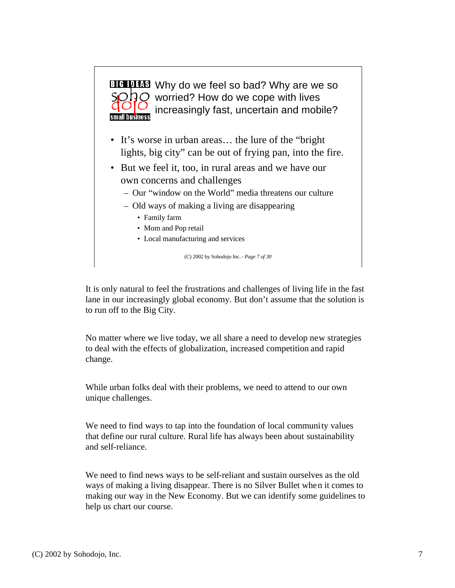

(C) 2002 by Sohodojo Inc.- *Page 7 of 30*

It is only natural to feel the frustrations and challenges of living life in the fast lane in our increasingly global economy. But don't assume that the solution is to run off to the Big City.

No matter where we live today, we all share a need to develop new strategies to deal with the effects of globalization, increased competition and rapid change.

While urban folks deal with their problems, we need to attend to our own unique challenges.

We need to find ways to tap into the foundation of local community values that define our rural culture. Rural life has always been about sustainability and self-reliance.

We need to find news ways to be self-reliant and sustain ourselves as the old ways of making a living disappear. There is no Silver Bullet when it comes to making our way in the New Economy. But we can identify some guidelines to help us chart our course.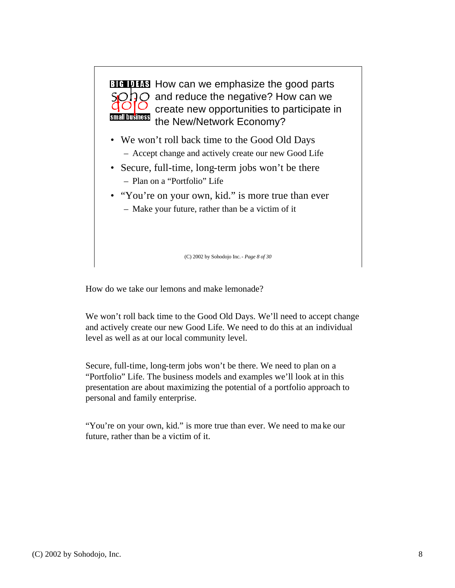

How do we take our lemons and make lemonade?

We won't roll back time to the Good Old Days. We'll need to accept change and actively create our new Good Life. We need to do this at an individual level as well as at our local community level.

Secure, full-time, long-term jobs won't be there. We need to plan on a "Portfolio" Life. The business models and examples we'll look at in this presentation are about maximizing the potential of a portfolio approach to personal and family enterprise.

"You're on your own, kid." is more true than ever. We need to ma ke our future, rather than be a victim of it.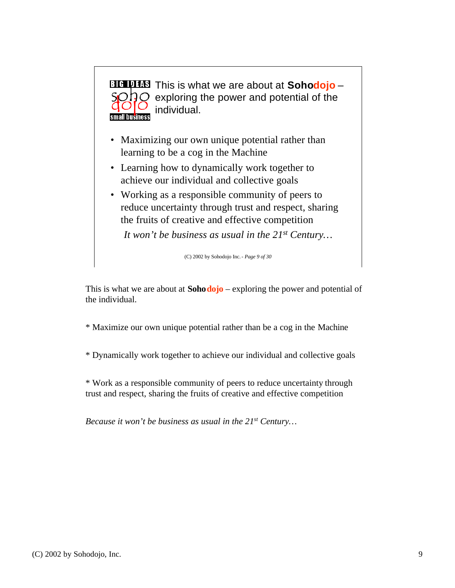

This is what we are about at **Sohodojo** – exploring the power and potential of the individual.

\* Maximize our own unique potential rather than be a cog in the Machine

\* Dynamically work together to achieve our individual and collective goals

\* Work as a responsible community of peers to reduce uncertainty through trust and respect, sharing the fruits of creative and effective competition

*Because it won't be business as usual in the 21st Century…*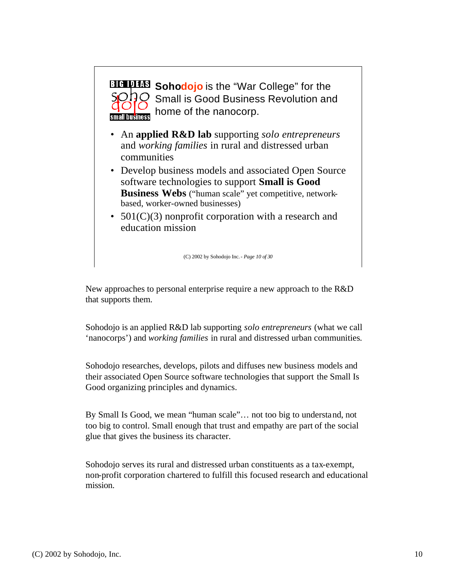

- An **applied R&D lab** supporting *solo entrepreneurs*  and *working families* in rural and distressed urban communities
- Develop business models and associated Open Source software technologies to support **Small is Good Business Webs** ("human scale" yet competitive, networkbased, worker-owned businesses)
- 501(C)(3) nonprofit corporation with a research and education mission

(C) 2002 by Sohodojo Inc.- *Page 10 of 30*

New approaches to personal enterprise require a new approach to the R&D that supports them.

Sohodojo is an applied R&D lab supporting *solo entrepreneurs* (what we call 'nanocorps') and *working families* in rural and distressed urban communities*.*

Sohodojo researches, develops, pilots and diffuses new business models and their associated Open Source software technologies that support the Small Is Good organizing principles and dynamics.

By Small Is Good, we mean "human scale"… not too big to understand, not too big to control. Small enough that trust and empathy are part of the social glue that gives the business its character.

Sohodojo serves its rural and distressed urban constituents as a tax-exempt, non-profit corporation chartered to fulfill this focused research and educational mission.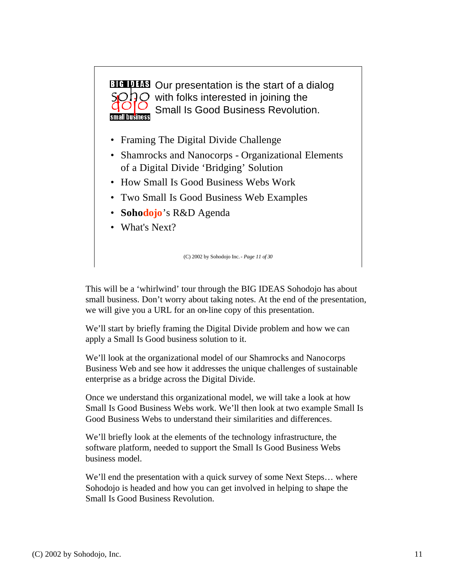

This will be a 'whirlwind' tour through the BIG IDEAS Sohodojo has about small business. Don't worry about taking notes. At the end of the presentation, we will give you a URL for an on-line copy of this presentation.

We'll start by briefly framing the Digital Divide problem and how we can apply a Small Is Good business solution to it.

We'll look at the organizational model of our Shamrocks and Nanocorps Business Web and see how it addresses the unique challenges of sustainable enterprise as a bridge across the Digital Divide.

Once we understand this organizational model, we will take a look at how Small Is Good Business Webs work. We'll then look at two example Small Is Good Business Webs to understand their similarities and differences.

We'll briefly look at the elements of the technology infrastructure, the software platform, needed to support the Small Is Good Business Webs business model.

We'll end the presentation with a quick survey of some Next Steps… where Sohodojo is headed and how you can get involved in helping to shape the Small Is Good Business Revolution.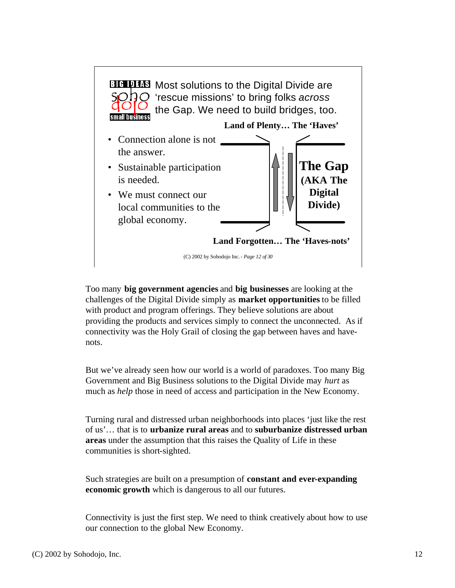

Too many **big government agencies** and **big businesses** are looking at the challenges of the Digital Divide simply as **market opportunities** to be filled with product and program offerings. They believe solutions are about providing the products and services simply to connect the unconnected. As if connectivity was the Holy Grail of closing the gap between haves and havenots.

But we've already seen how our world is a world of paradoxes. Too many Big Government and Big Business solutions to the Digital Divide may *hurt* as much as *help* those in need of access and participation in the New Economy.

Turning rural and distressed urban neighborhoods into places 'just like the rest of us'… that is to **urbanize rural areas** and to **suburbanize distressed urban areas** under the assumption that this raises the Quality of Life in these communities is short-sighted.

Such strategies are built on a presumption of **constant and ever-expanding economic growth** which is dangerous to all our futures.

Connectivity is just the first step. We need to think creatively about how to use our connection to the global New Economy.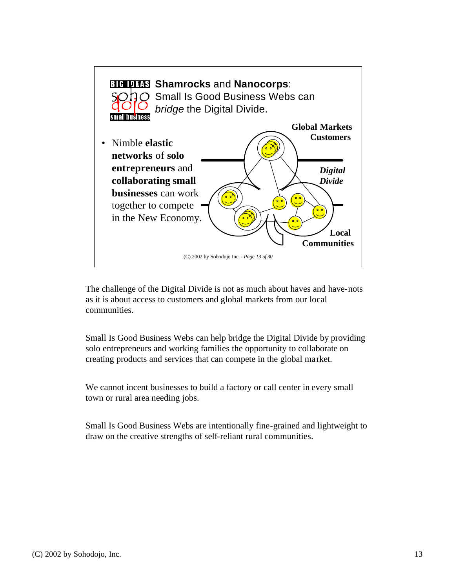

The challenge of the Digital Divide is not as much about haves and have-nots as it is about access to customers and global markets from our local communities.

Small Is Good Business Webs can help bridge the Digital Divide by providing solo entrepreneurs and working families the opportunity to collaborate on creating products and services that can compete in the global market.

We cannot incent businesses to build a factory or call center in every small town or rural area needing jobs.

Small Is Good Business Webs are intentionally fine-grained and lightweight to draw on the creative strengths of self-reliant rural communities.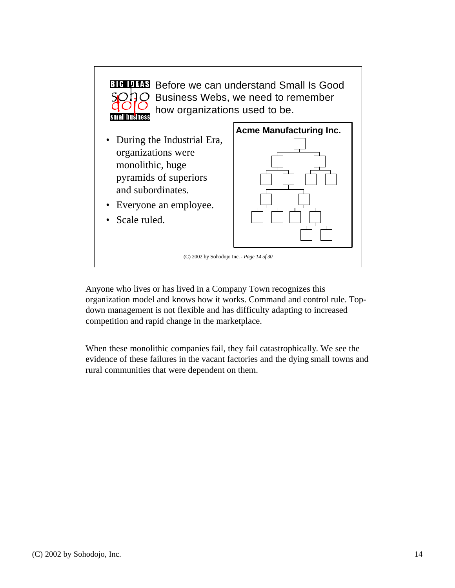

Anyone who lives or has lived in a Company Town recognizes this organization model and knows how it works. Command and control rule. Topdown management is not flexible and has difficulty adapting to increased competition and rapid change in the marketplace.

When these monolithic companies fail, they fail catastrophically. We see the evidence of these failures in the vacant factories and the dying small towns and rural communities that were dependent on them.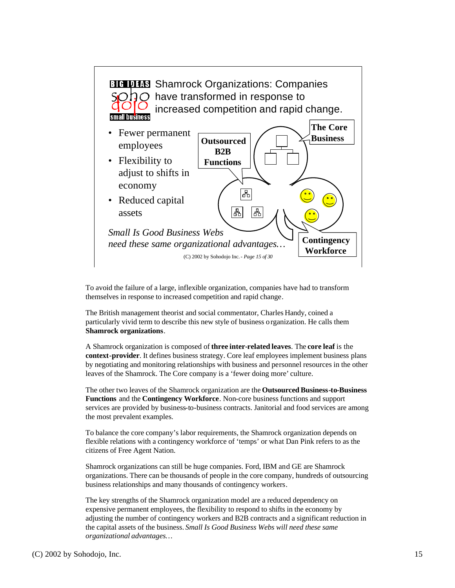

To avoid the failure of a large, inflexible organization, companies have had to transform themselves in response to increased competition and rapid change.

The British management theorist and social commentator, Charles Handy, coined a particularly vivid term to describe this new style of business organization. He calls them **Shamrock organizations**.

A Shamrock organization is composed of **three inter-related leaves**. The **core leaf** is the **context-provider**. It defines business strategy. Core leaf employees implement business plans by negotiating and monitoring relationships with business and personnel resources in the other leaves of the Shamrock. The Core company is a 'fewer doing more' culture.

The other two leaves of the Shamrock organization are the **Outsourced Business-to-Business Functions** and the **Contingency Workforce**. Non-core business functions and support services are provided by business-to-business contracts. Janitorial and food services are among the most prevalent examples.

To balance the core company's labor requirements, the Shamrock organization depends on flexible relations with a contingency workforce of 'temps' or what Dan Pink refers to as the citizens of Free Agent Nation.

Shamrock organizations can still be huge companies. Ford, IBM and GE are Shamrock organizations. There can be thousands of people in the core company, hundreds of outsourcing business relationships and many thousands of contingency workers.

The key strengths of the Shamrock organization model are a reduced dependency on expensive permanent employees, the flexibility to respond to shifts in the economy by adjusting the number of contingency workers and B2B contracts and a significant reduction in the capital assets of the business. *Small Is Good Business Webs will need these same organizational advantages…*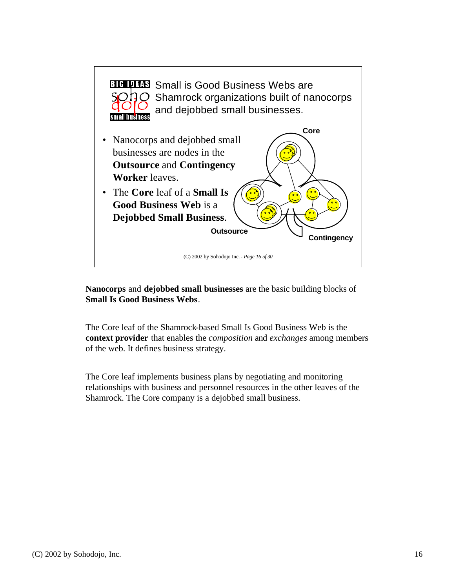

**Nanocorps** and **dejobbed small businesses** are the basic building blocks of **Small Is Good Business Webs**.

The Core leaf of the Shamrock-based Small Is Good Business Web is the **context provider** that enables the *composition* and *exchanges* among members of the web. It defines business strategy.

The Core leaf implements business plans by negotiating and monitoring relationships with business and personnel resources in the other leaves of the Shamrock. The Core company is a dejobbed small business.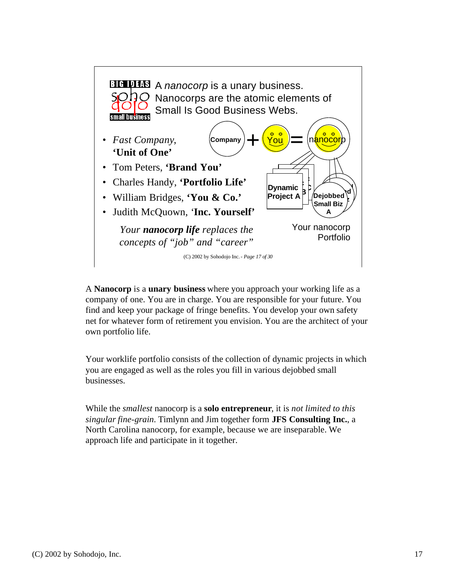

A **Nanocorp** is a **unary business** where you approach your working life as a company of one. You are in charge. You are responsible for your future. You find and keep your package of fringe benefits. You develop your own safety net for whatever form of retirement you envision. You are the architect of your own portfolio life.

Your worklife portfolio consists of the collection of dynamic projects in which you are engaged as well as the roles you fill in various dejobbed small businesses.

While the *smallest* nanocorp is a **solo entrepreneur**, it is *not limited to this singular fine-grain*. Timlynn and Jim together form **JFS Consulting Inc.**, a North Carolina nanocorp, for example, because we are inseparable. We approach life and participate in it together.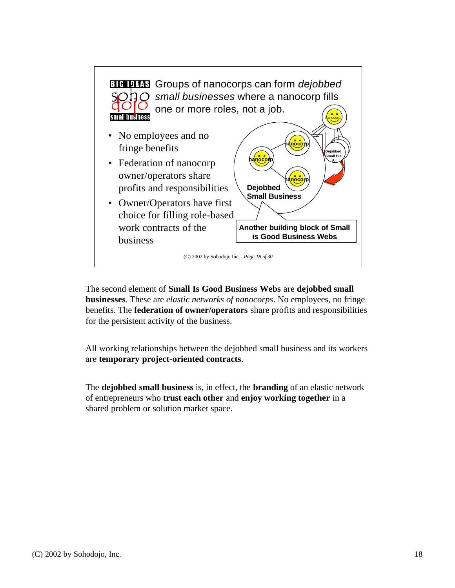

The second element of **Small Is Good Business Webs** are **dejobbed small businesses**. These are *elastic networks of nanocorps*. No employees, no fringe benefits. The **federation of owner/operators** share profits and responsibilities for the persistent activity of the business.

All working relationships between the dejobbed small business and its workers are **temporary project-oriented contracts**.

The **dejobbed small business** is, in effect, the **branding** of an elastic network of entrepreneurs who **trust each other** and **enjoy working together** in a shared problem or solution market space.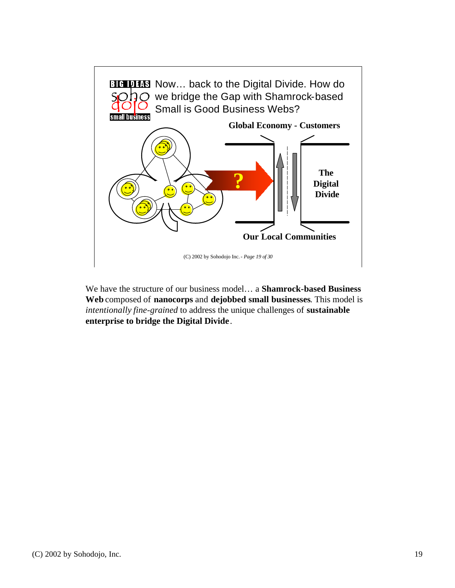

We have the structure of our business model… a **Shamrock-based Business Web** composed of **nanocorps** and **dejobbed small businesses**. This model is *intentionally fine-grained* to address the unique challenges of **sustainable enterprise to bridge the Digital Divide**.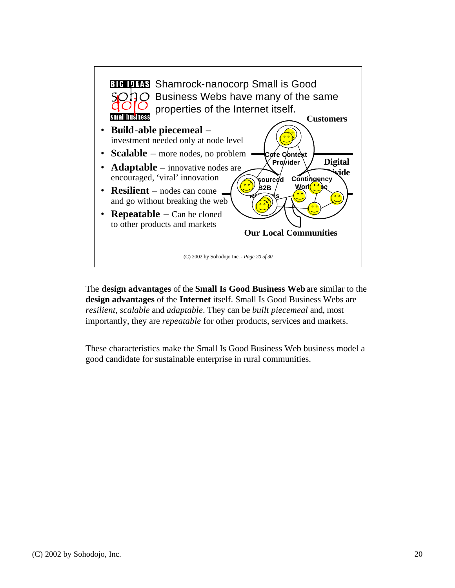

The **design advantages** of the **Small Is Good Business Web** are similar to the **design advantages** of the **Internet** itself. Small Is Good Business Webs are *resilient*, *scalable* and *adaptable*. They can be *built piecemeal* and, most importantly, they are *repeatable* for other products, services and markets.

These characteristics make the Small Is Good Business Web business model a good candidate for sustainable enterprise in rural communities.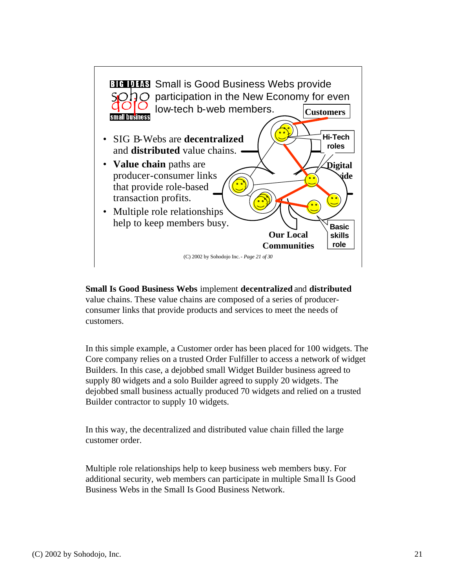

**Small Is Good Business Webs** implement **decentralized** and **distributed** value chains. These value chains are composed of a series of producerconsumer links that provide products and services to meet the needs of customers.

In this simple example, a Customer order has been placed for 100 widgets. The Core company relies on a trusted Order Fulfiller to access a network of widget Builders. In this case, a dejobbed small Widget Builder business agreed to supply 80 widgets and a solo Builder agreed to supply 20 widgets. The dejobbed small business actually produced 70 widgets and relied on a trusted Builder contractor to supply 10 widgets.

In this way, the decentralized and distributed value chain filled the large customer order.

Multiple role relationships help to keep business web members busy. For additional security, web members can participate in multiple Small Is Good Business Webs in the Small Is Good Business Network.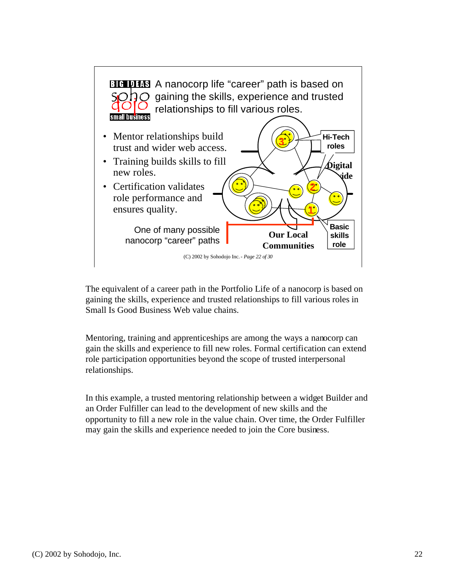

The equivalent of a career path in the Portfolio Life of a nanocorp is based on gaining the skills, experience and trusted relationships to fill various roles in Small Is Good Business Web value chains.

Mentoring, training and apprenticeships are among the ways a nanocorp can gain the skills and experience to fill new roles. Formal certification can extend role participation opportunities beyond the scope of trusted interpersonal relationships.

In this example, a trusted mentoring relationship between a widget Builder and an Order Fulfiller can lead to the development of new skills and the opportunity to fill a new role in the value chain. Over time, the Order Fulfiller may gain the skills and experience needed to join the Core business.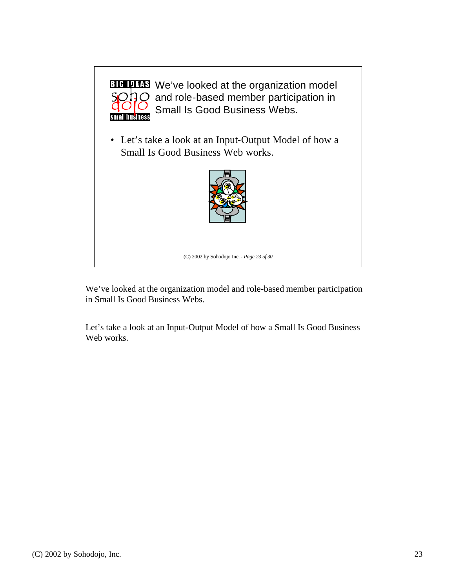

**BIG UTIS** We've looked at the organization model  $O$  and role-based member participation in Small Is Good Business Webs.

• Let's take a look at an Input-Output Model of how a Small Is Good Business Web works.



(C) 2002 by Sohodojo Inc.- *Page 23 of 30*

We've looked at the organization model and role-based member participation in Small Is Good Business Webs.

Let's take a look at an Input-Output Model of how a Small Is Good Business Web works.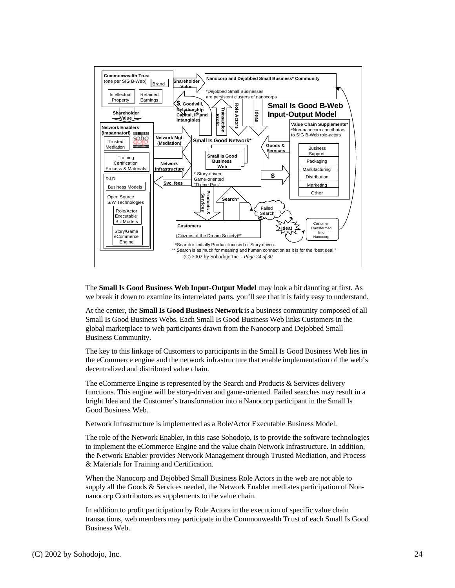

The **Small Is Good Business Web Input-Output Model** may look a bit daunting at first. As we break it down to examine its interrelated parts, you'll see that it is fairly easy to understand.

At the center, the **Small Is Good Business Network** is a business community composed of all Small Is Good Business Webs. Each Small Is Good Business Web links Customers in the global marketplace to web participants drawn from the Nanocorp and Dejobbed Small Business Community.

The key to this linkage of Customers to participants in the Small Is Good Business Web lies in the eCommerce engine and the network infrastructure that enable implementation of the web's decentralized and distributed value chain.

The eCommerce Engine is represented by the Search and Products & Services delivery functions. This engine will be story-driven and game-oriented. Failed searches may result in a bright Idea and the Customer's transformation into a Nanocorp participant in the Small Is Good Business Web.

Network Infrastructure is implemented as a Role/Actor Executable Business Model.

The role of the Network Enabler, in this case Sohodojo, is to provide the software technologies to implement the eCommerce Engine and the value chain Network Infrastructure. In addition, the Network Enabler provides Network Management through Trusted Mediation, and Process & Materials for Training and Certification.

When the Nanocorp and Dejobbed Small Business Role Actors in the web are not able to supply all the Goods & Services needed, the Network Enabler mediates participation of Nonnanocorp Contributors as supplements to the value chain.

In addition to profit participation by Role Actors in the execution of specific value chain transactions, web members may participate in the Commonwealth Trust of each Small Is Good Business Web.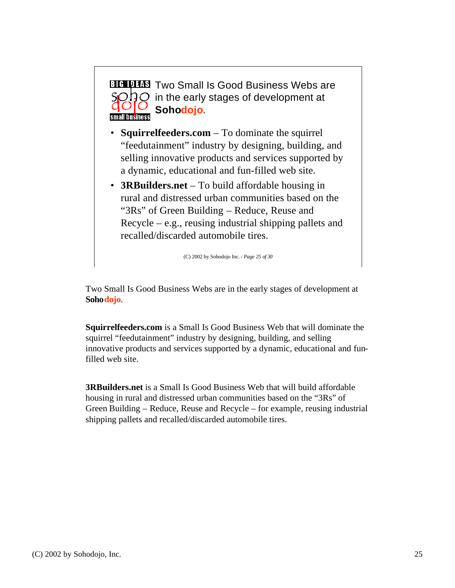

Two Small Is Good Business Webs are in the early stages of development at **Sohodojo**.

**Squirrelfeeders.com** is a Small Is Good Business Web that will dominate the squirrel "feedutainment" industry by designing, building, and selling innovative products and services supported by a dynamic, educational and funfilled web site.

**3RBuilders.net** is a Small Is Good Business Web that will build affordable housing in rural and distressed urban communities based on the "3Rs" of Green Building – Reduce, Reuse and Recycle – for example, reusing industrial shipping pallets and recalled/discarded automobile tires.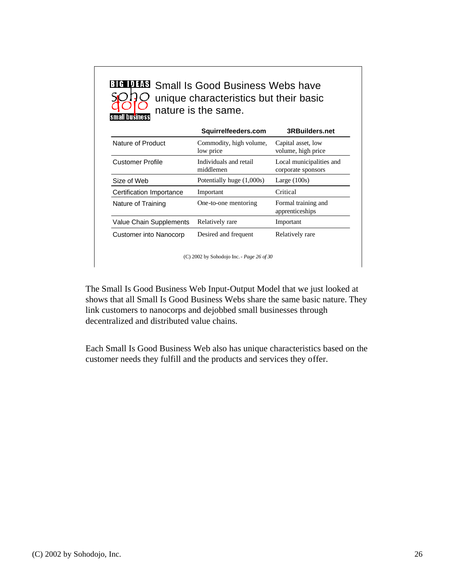**BIG DES** Small Is Good Business Webs have  $Q$  unique characteristics but their basic nature is the same.

|                          | Squirrelfeeders.com                  | <b>3RBuilders.net</b>                          |  |
|--------------------------|--------------------------------------|------------------------------------------------|--|
| Nature of Product        | Commodity, high volume,<br>low price | Capital asset, low<br>volume, high price       |  |
| <b>Customer Profile</b>  | Individuals and retail<br>middlemen  | Local municipalities and<br>corporate sponsors |  |
| Size of Web              | Potentially huge (1,000s)            | Large $(100s)$                                 |  |
| Certification Importance | Important                            | Critical                                       |  |
| Nature of Training       | One-to-one mentoring                 | Formal training and<br>apprenticeships         |  |
| Value Chain Supplements  | Relatively rare                      | Important                                      |  |
| Customer into Nanocorp   | Desired and frequent                 | Relatively rare                                |  |

(C) 2002 by Sohodojo Inc.- *Page 26 of 30*

The Small Is Good Business Web Input-Output Model that we just looked at shows that all Small Is Good Business Webs share the same basic nature. They link customers to nanocorps and dejobbed small businesses through decentralized and distributed value chains.

Each Small Is Good Business Web also has unique characteristics based on the customer needs they fulfill and the products and services they offer.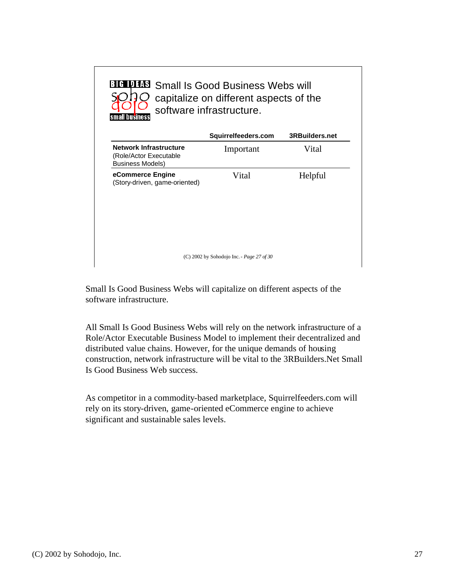| <b>BIG DES</b> Small Is Good Business Webs will<br>capitalize on different aspects of the<br>software infrastructure.<br><b>business</b> |                                           |                       |  |
|------------------------------------------------------------------------------------------------------------------------------------------|-------------------------------------------|-----------------------|--|
|                                                                                                                                          | Squirrelfeeders.com                       | <b>3RBuilders.net</b> |  |
| <b>Network Infrastructure</b><br>(Role/Actor Executable<br><b>Business Models)</b>                                                       | Important                                 | Vital                 |  |
| eCommerce Engine<br>(Story-driven, game-oriented)                                                                                        | Vital                                     | Helpful               |  |
|                                                                                                                                          | (C) 2002 by Sohodojo Inc. - Page 27 of 30 |                       |  |

Small Is Good Business Webs will capitalize on different aspects of the software infrastructure.

All Small Is Good Business Webs will rely on the network infrastructure of a Role/Actor Executable Business Model to implement their decentralized and distributed value chains. However, for the unique demands of housing construction, network infrastructure will be vital to the 3RBuilders.Net Small Is Good Business Web success.

As competitor in a commodity-based marketplace, Squirrelfeeders.com will rely on its story-driven, game-oriented eCommerce engine to achieve significant and sustainable sales levels.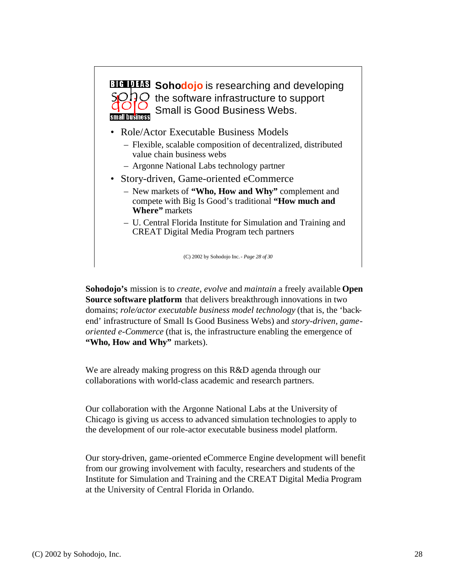

**Sohodojo's** mission is to *create, evolve* and *maintain* a freely available **Open Source software platform** that delivers breakthrough innovations in two domains; *role/actor executable business model technology* (that is, the 'backend' infrastructure of Small Is Good Business Webs) and *story-driven, gameoriented e-Commerce* (that is, the infrastructure enabling the emergence of **"Who, How and Why"** markets).

We are already making progress on this R&D agenda through our collaborations with world-class academic and research partners.

Our collaboration with the Argonne National Labs at the University of Chicago is giving us access to advanced simulation technologies to apply to the development of our role-actor executable business model platform.

Our story-driven, game-oriented eCommerce Engine development will benefit from our growing involvement with faculty, researchers and students of the Institute for Simulation and Training and the CREAT Digital Media Program at the University of Central Florida in Orlando.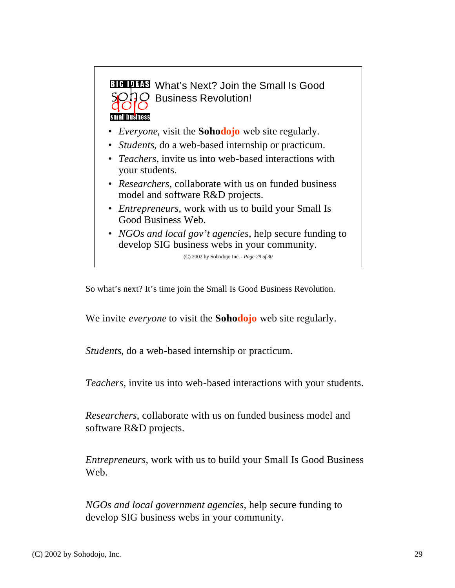**BIG DEE What's Next? Join the Small Is Good** SODO Business Revolution!

small business

- *Everyone*, visit the **Sohodojo** web site regularly.
- *Students*, do a web-based internship or practicum.
- *Teachers*, invite us into web-based interactions with your students.
- *Researchers*, collaborate with us on funded business model and software R&D projects.
- *Entrepreneurs*, work with us to build your Small Is Good Business Web.
- *NGOs and local gov't agencies*, help secure funding to develop SIG business webs in your community.

(C) 2002 by Sohodojo Inc.- *Page 29 of 30*

So what's next? It's time join the Small Is Good Business Revolution.

We invite *everyone* to visit the **Sohodojo** web site regularly.

*Students*, do a web-based internship or practicum.

*Teachers*, invite us into web-based interactions with your students.

*Researchers*, collaborate with us on funded business model and software R&D projects.

*Entrepreneurs*, work with us to build your Small Is Good Business We<sub>b</sub>

*NGOs and local government agencies*, help secure funding to develop SIG business webs in your community.